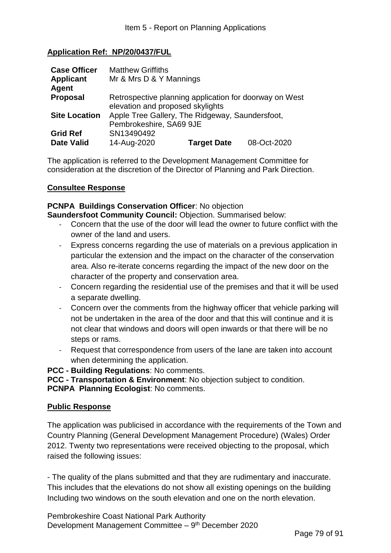## **Application Ref: NP/20/0437/FUL**

| <b>Case Officer</b>  | <b>Matthew Griffiths</b>                               |                    |             |
|----------------------|--------------------------------------------------------|--------------------|-------------|
| <b>Applicant</b>     | Mr & Mrs D & Y Mannings                                |                    |             |
| Agent                |                                                        |                    |             |
| <b>Proposal</b>      | Retrospective planning application for doorway on West |                    |             |
|                      | elevation and proposed skylights                       |                    |             |
| <b>Site Location</b> | Apple Tree Gallery, The Ridgeway, Saundersfoot,        |                    |             |
|                      | Pembrokeshire, SA69 9JE                                |                    |             |
| <b>Grid Ref</b>      | SN13490492                                             |                    |             |
| <b>Date Valid</b>    | 14-Aug-2020                                            | <b>Target Date</b> | 08-Oct-2020 |

The application is referred to the Development Management Committee for consideration at the discretion of the Director of Planning and Park Direction.

#### **Consultee Response**

**PCNPA Buildings Conservation Officer**: No objection **Saundersfoot Community Council:** Objection. Summarised below:

- Concern that the use of the door will lead the owner to future conflict with the owner of the land and users.
- Express concerns regarding the use of materials on a previous application in particular the extension and the impact on the character of the conservation area. Also re-iterate concerns regarding the impact of the new door on the character of the property and conservation area.
- Concern regarding the residential use of the premises and that it will be used a separate dwelling.
- Concern over the comments from the highway officer that vehicle parking will not be undertaken in the area of the door and that this will continue and it is not clear that windows and doors will open inwards or that there will be no steps or rams.
- Request that correspondence from users of the lane are taken into account when determining the application.

**PCC - Building Regulations**: No comments.

**PCC - Transportation & Environment**: No objection subject to condition. **PCNPA Planning Ecologist**: No comments.

#### **Public Response**

The application was publicised in accordance with the requirements of the Town and Country Planning (General Development Management Procedure) (Wales) Order 2012. Twenty two representations were received objecting to the proposal, which raised the following issues:

- The quality of the plans submitted and that they are rudimentary and inaccurate. This includes that the elevations do not show all existing openings on the building Including two windows on the south elevation and one on the north elevation.

Pembrokeshire Coast National Park Authority Development Management Committee - 9<sup>th</sup> December 2020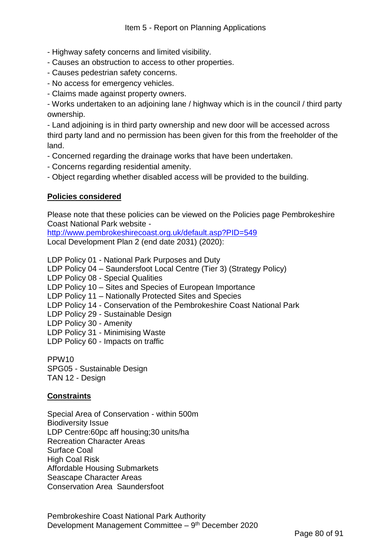- Highway safety concerns and limited visibility.
- Causes an obstruction to access to other properties.
- Causes pedestrian safety concerns.
- No access for emergency vehicles.
- Claims made against property owners.

- Works undertaken to an adjoining lane / highway which is in the council / third party ownership.

- Land adjoining is in third party ownership and new door will be accessed across third party land and no permission has been given for this from the freeholder of the land.

- Concerned regarding the drainage works that have been undertaken.
- Concerns regarding residential amenity.
- Object regarding whether disabled access will be provided to the building.

## **Policies considered**

Please note that these policies can be viewed on the Policies page Pembrokeshire Coast National Park website -

<http://www.pembrokeshirecoast.org.uk/default.asp?PID=549> Local Development Plan 2 (end date 2031) (2020):

LDP Policy 01 - National Park Purposes and Duty

LDP Policy 04 – Saundersfoot Local Centre (Tier 3) (Strategy Policy)

LDP Policy 08 - Special Qualities

LDP Policy 10 – Sites and Species of European Importance

LDP Policy 11 – Nationally Protected Sites and Species

LDP Policy 14 - Conservation of the Pembrokeshire Coast National Park

LDP Policy 29 - Sustainable Design

- LDP Policy 30 Amenity
- LDP Policy 31 Minimising Waste
- LDP Policy 60 Impacts on traffic

PPW10 SPG05 - Sustainable Design TAN 12 - Design

#### **Constraints**

Special Area of Conservation - within 500m Biodiversity Issue LDP Centre:60pc aff housing;30 units/ha Recreation Character Areas Surface Coal High Coal Risk Affordable Housing Submarkets Seascape Character Areas Conservation Area Saundersfoot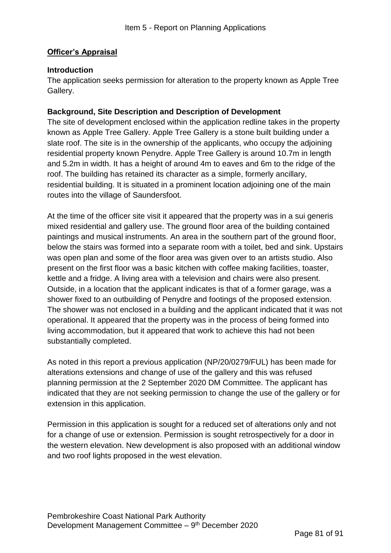# **Officer's Appraisal**

#### **Introduction**

The application seeks permission for alteration to the property known as Apple Tree Gallery.

## **Background, Site Description and Description of Development**

The site of development enclosed within the application redline takes in the property known as Apple Tree Gallery. Apple Tree Gallery is a stone built building under a slate roof. The site is in the ownership of the applicants, who occupy the adjoining residential property known Penydre. Apple Tree Gallery is around 10.7m in length and 5.2m in width. It has a height of around 4m to eaves and 6m to the ridge of the roof. The building has retained its character as a simple, formerly ancillary, residential building. It is situated in a prominent location adjoining one of the main routes into the village of Saundersfoot.

At the time of the officer site visit it appeared that the property was in a sui generis mixed residential and gallery use. The ground floor area of the building contained paintings and musical instruments. An area in the southern part of the ground floor, below the stairs was formed into a separate room with a toilet, bed and sink. Upstairs was open plan and some of the floor area was given over to an artists studio. Also present on the first floor was a basic kitchen with coffee making facilities, toaster, kettle and a fridge. A living area with a television and chairs were also present. Outside, in a location that the applicant indicates is that of a former garage, was a shower fixed to an outbuilding of Penydre and footings of the proposed extension. The shower was not enclosed in a building and the applicant indicated that it was not operational. It appeared that the property was in the process of being formed into living accommodation, but it appeared that work to achieve this had not been substantially completed.

As noted in this report a previous application (NP/20/0279/FUL) has been made for alterations extensions and change of use of the gallery and this was refused planning permission at the 2 September 2020 DM Committee. The applicant has indicated that they are not seeking permission to change the use of the gallery or for extension in this application.

Permission in this application is sought for a reduced set of alterations only and not for a change of use or extension. Permission is sought retrospectively for a door in the western elevation. New development is also proposed with an additional window and two roof lights proposed in the west elevation.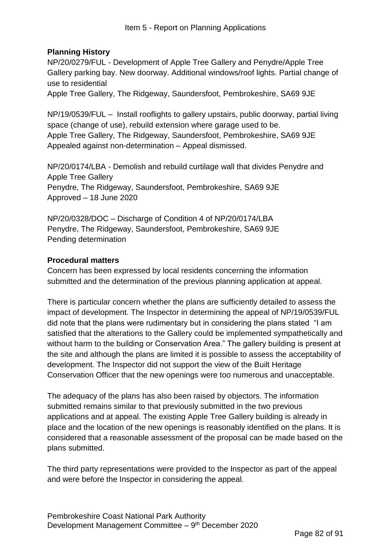# **Planning History**

NP/20/0279/FUL - Development of Apple Tree Gallery and Penydre/Apple Tree Gallery parking bay. New doorway. Additional windows/roof lights. Partial change of use to residential

Apple Tree Gallery, The Ridgeway, Saundersfoot, Pembrokeshire, SA69 9JE

NP/19/0539/FUL – Install rooflights to gallery upstairs, public doorway, partial living space (change of use), rebuild extension where garage used to be. Apple Tree Gallery, The Ridgeway, Saundersfoot, Pembrokeshire, SA69 9JE Appealed against non-determination – Appeal dismissed.

NP/20/0174/LBA - Demolish and rebuild curtilage wall that divides Penydre and Apple Tree Gallery Penydre, The Ridgeway, Saundersfoot, Pembrokeshire, SA69 9JE Approved – 18 June 2020

NP/20/0328/DOC – Discharge of Condition 4 of NP/20/0174/LBA Penydre, The Ridgeway, Saundersfoot, Pembrokeshire, SA69 9JE Pending determination

## **Procedural matters**

Concern has been expressed by local residents concerning the information submitted and the determination of the previous planning application at appeal.

There is particular concern whether the plans are sufficiently detailed to assess the impact of development. The Inspector in determining the appeal of NP/19/0539/FUL did note that the plans were rudimentary but in considering the plans stated "I am satisfied that the alterations to the Gallery could be implemented sympathetically and without harm to the building or Conservation Area." The gallery building is present at the site and although the plans are limited it is possible to assess the acceptability of development. The Inspector did not support the view of the Built Heritage Conservation Officer that the new openings were too numerous and unacceptable.

The adequacy of the plans has also been raised by objectors. The information submitted remains similar to that previously submitted in the two previous applications and at appeal. The existing Apple Tree Gallery building is already in place and the location of the new openings is reasonably identified on the plans. It is considered that a reasonable assessment of the proposal can be made based on the plans submitted.

The third party representations were provided to the Inspector as part of the appeal and were before the Inspector in considering the appeal.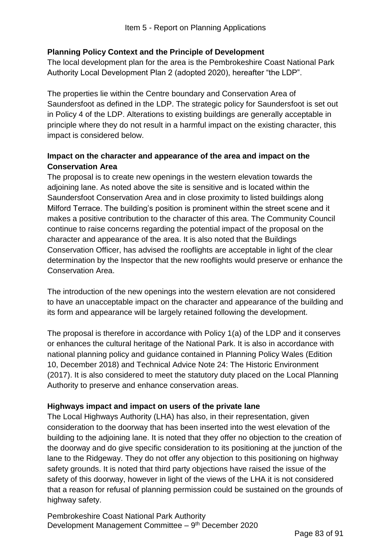# **Planning Policy Context and the Principle of Development**

The local development plan for the area is the Pembrokeshire Coast National Park Authority Local Development Plan 2 (adopted 2020), hereafter "the LDP".

The properties lie within the Centre boundary and Conservation Area of Saundersfoot as defined in the LDP. The strategic policy for Saundersfoot is set out in Policy 4 of the LDP. Alterations to existing buildings are generally acceptable in principle where they do not result in a harmful impact on the existing character, this impact is considered below.

# **Impact on the character and appearance of the area and impact on the Conservation Area**

The proposal is to create new openings in the western elevation towards the adjoining lane. As noted above the site is sensitive and is located within the Saundersfoot Conservation Area and in close proximity to listed buildings along Milford Terrace. The building's position is prominent within the street scene and it makes a positive contribution to the character of this area. The Community Council continue to raise concerns regarding the potential impact of the proposal on the character and appearance of the area. It is also noted that the Buildings Conservation Officer, has advised the rooflights are acceptable in light of the clear determination by the Inspector that the new rooflights would preserve or enhance the Conservation Area.

The introduction of the new openings into the western elevation are not considered to have an unacceptable impact on the character and appearance of the building and its form and appearance will be largely retained following the development.

The proposal is therefore in accordance with Policy 1(a) of the LDP and it conserves or enhances the cultural heritage of the National Park. It is also in accordance with national planning policy and guidance contained in Planning Policy Wales (Edition 10, December 2018) and Technical Advice Note 24: The Historic Environment (2017). It is also considered to meet the statutory duty placed on the Local Planning Authority to preserve and enhance conservation areas.

# **Highways impact and impact on users of the private lane**

The Local Highways Authority (LHA) has also, in their representation, given consideration to the doorway that has been inserted into the west elevation of the building to the adjoining lane. It is noted that they offer no objection to the creation of the doorway and do give specific consideration to its positioning at the junction of the lane to the Ridgeway. They do not offer any objection to this positioning on highway safety grounds. It is noted that third party objections have raised the issue of the safety of this doorway, however in light of the views of the LHA it is not considered that a reason for refusal of planning permission could be sustained on the grounds of highway safety.

Pembrokeshire Coast National Park Authority Development Management Committee - 9<sup>th</sup> December 2020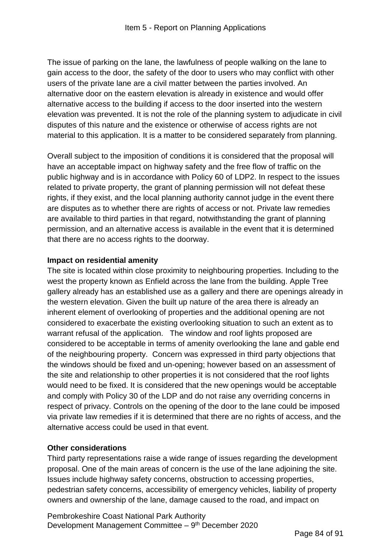The issue of parking on the lane, the lawfulness of people walking on the lane to gain access to the door, the safety of the door to users who may conflict with other users of the private lane are a civil matter between the parties involved. An alternative door on the eastern elevation is already in existence and would offer alternative access to the building if access to the door inserted into the western elevation was prevented. It is not the role of the planning system to adjudicate in civil disputes of this nature and the existence or otherwise of access rights are not material to this application. It is a matter to be considered separately from planning.

Overall subject to the imposition of conditions it is considered that the proposal will have an acceptable impact on highway safety and the free flow of traffic on the public highway and is in accordance with Policy 60 of LDP2. In respect to the issues related to private property, the grant of planning permission will not defeat these rights, if they exist, and the local planning authority cannot judge in the event there are disputes as to whether there are rights of access or not. Private law remedies are available to third parties in that regard, notwithstanding the grant of planning permission, and an alternative access is available in the event that it is determined that there are no access rights to the doorway.

# **Impact on residential amenity**

The site is located within close proximity to neighbouring properties. Including to the west the property known as Enfield across the lane from the building. Apple Tree gallery already has an established use as a gallery and there are openings already in the western elevation. Given the built up nature of the area there is already an inherent element of overlooking of properties and the additional opening are not considered to exacerbate the existing overlooking situation to such an extent as to warrant refusal of the application. The window and roof lights proposed are considered to be acceptable in terms of amenity overlooking the lane and gable end of the neighbouring property. Concern was expressed in third party objections that the windows should be fixed and un-opening; however based on an assessment of the site and relationship to other properties it is not considered that the roof lights would need to be fixed. It is considered that the new openings would be acceptable and comply with Policy 30 of the LDP and do not raise any overriding concerns in respect of privacy. Controls on the opening of the door to the lane could be imposed via private law remedies if it is determined that there are no rights of access, and the alternative access could be used in that event.

# **Other considerations**

Third party representations raise a wide range of issues regarding the development proposal. One of the main areas of concern is the use of the lane adjoining the site. Issues include highway safety concerns, obstruction to accessing properties, pedestrian safety concerns, accessibility of emergency vehicles, liability of property owners and ownership of the lane, damage caused to the road, and impact on

Pembrokeshire Coast National Park Authority Development Management Committee - 9<sup>th</sup> December 2020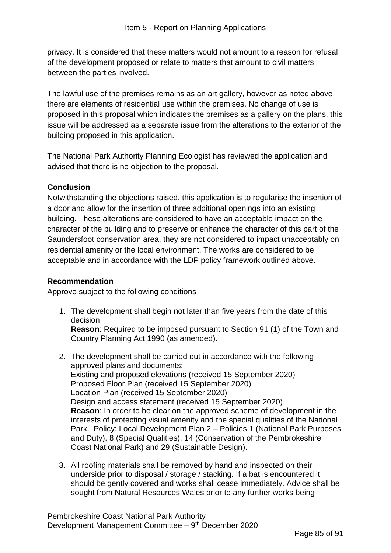privacy. It is considered that these matters would not amount to a reason for refusal of the development proposed or relate to matters that amount to civil matters between the parties involved.

The lawful use of the premises remains as an art gallery, however as noted above there are elements of residential use within the premises. No change of use is proposed in this proposal which indicates the premises as a gallery on the plans, this issue will be addressed as a separate issue from the alterations to the exterior of the building proposed in this application.

The National Park Authority Planning Ecologist has reviewed the application and advised that there is no objection to the proposal.

## **Conclusion**

Notwithstanding the objections raised, this application is to regularise the insertion of a door and allow for the insertion of three additional openings into an existing building. These alterations are considered to have an acceptable impact on the character of the building and to preserve or enhance the character of this part of the Saundersfoot conservation area, they are not considered to impact unacceptably on residential amenity or the local environment. The works are considered to be acceptable and in accordance with the LDP policy framework outlined above.

## **Recommendation**

Approve subject to the following conditions

1. The development shall begin not later than five years from the date of this decision.

**Reason**: Required to be imposed pursuant to Section 91 (1) of the Town and Country Planning Act 1990 (as amended).

- 2. The development shall be carried out in accordance with the following approved plans and documents: Existing and proposed elevations (received 15 September 2020) Proposed Floor Plan (received 15 September 2020) Location Plan (received 15 September 2020) Design and access statement (received 15 September 2020) **Reason**: In order to be clear on the approved scheme of development in the interests of protecting visual amenity and the special qualities of the National Park. Policy: Local Development Plan 2 – Policies 1 (National Park Purposes and Duty), 8 (Special Qualities), 14 (Conservation of the Pembrokeshire Coast National Park) and 29 (Sustainable Design).
- 3. All roofing materials shall be removed by hand and inspected on their underside prior to disposal / storage / stacking. If a bat is encountered it should be gently covered and works shall cease immediately. Advice shall be sought from Natural Resources Wales prior to any further works being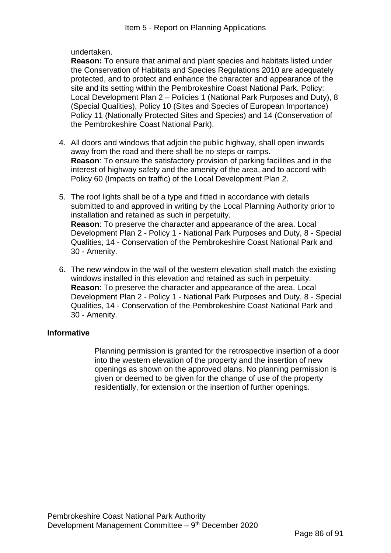undertaken.

**Reason:** To ensure that animal and plant species and habitats listed under the Conservation of Habitats and Species Regulations 2010 are adequately protected, and to protect and enhance the character and appearance of the site and its setting within the Pembrokeshire Coast National Park. Policy: Local Development Plan 2 – Policies 1 (National Park Purposes and Duty), 8 (Special Qualities), Policy 10 (Sites and Species of European Importance) Policy 11 (Nationally Protected Sites and Species) and 14 (Conservation of the Pembrokeshire Coast National Park).

- 4. All doors and windows that adjoin the public highway, shall open inwards away from the road and there shall be no steps or ramps. **Reason**: To ensure the satisfactory provision of parking facilities and in the interest of highway safety and the amenity of the area, and to accord with Policy 60 (Impacts on traffic) of the Local Development Plan 2.
- 5. The roof lights shall be of a type and fitted in accordance with details submitted to and approved in writing by the Local Planning Authority prior to installation and retained as such in perpetuity. **Reason**: To preserve the character and appearance of the area. Local Development Plan 2 - Policy 1 - National Park Purposes and Duty, 8 - Special Qualities, 14 - Conservation of the Pembrokeshire Coast National Park and 30 - Amenity.
- 6. The new window in the wall of the western elevation shall match the existing windows installed in this elevation and retained as such in perpetuity. **Reason**: To preserve the character and appearance of the area. Local Development Plan 2 - Policy 1 - National Park Purposes and Duty, 8 - Special Qualities, 14 - Conservation of the Pembrokeshire Coast National Park and 30 - Amenity.

# **Informative**

Planning permission is granted for the retrospective insertion of a door into the western elevation of the property and the insertion of new openings as shown on the approved plans. No planning permission is given or deemed to be given for the change of use of the property residentially, for extension or the insertion of further openings.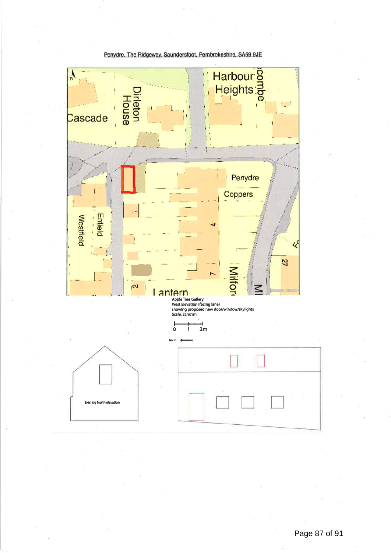

Penydre, The Ridgeway, Saundersfoot, Pembrokeshire, SA69 9JE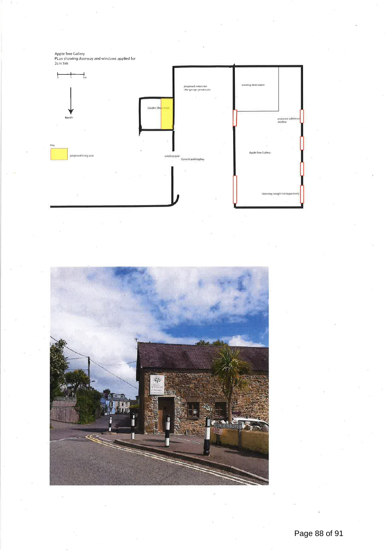Apple Tree Gallery<br>PLan showing doorway and windows applied for<br>2cm:1m